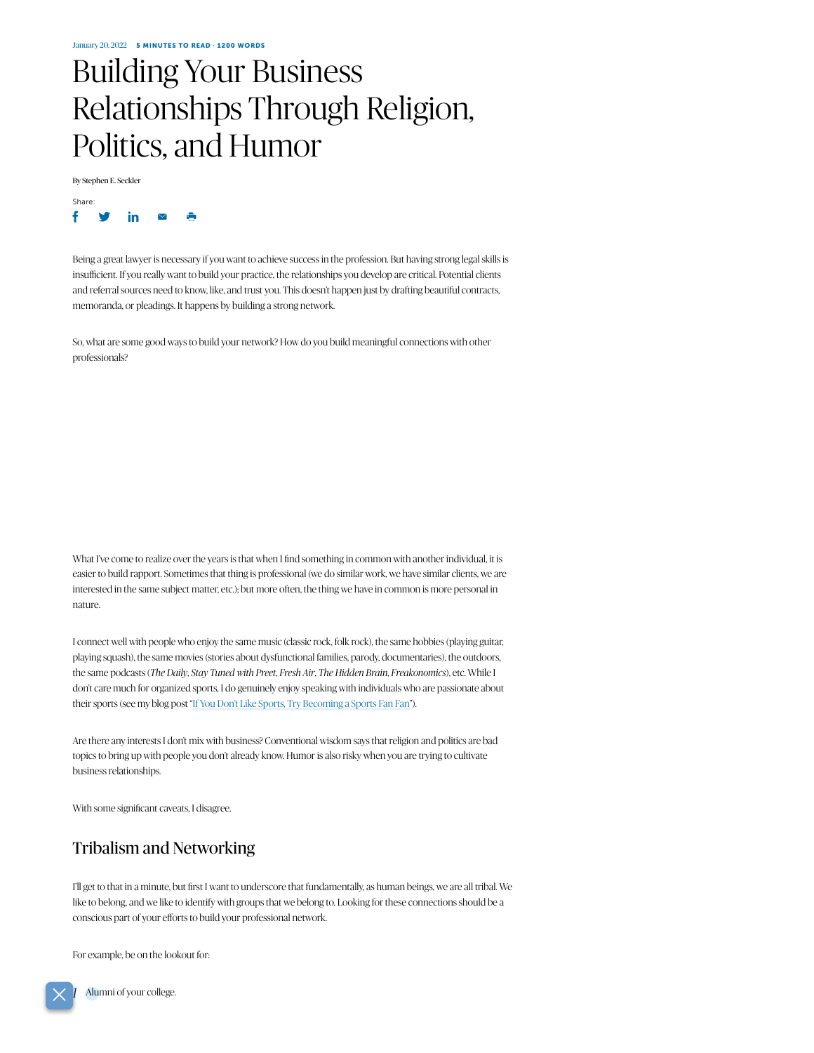# Building Your Business Relationships Through Religion, Politics, and Humor

By Stephen E. Seckler



Being a great lawyer is necessary if you want to achieve success in the profession. But having strong legal skills is insufficient. If you really want to build your practice, the relationships you develop are critical. Potential clients and referral sources need to know, like, and trust you. This doesn't happen just by drafting beautiful contracts, memoranda, or pleadings. It happens by building a strong network.

So, what are some good ways to build your network? How do you build meaningful connections with other professionals?

What I've come to realize over the years is that when I find something in common with another individual, it is easier to build rapport. Sometimes that thing is professional (we do similar work, we have similar clients, we are interested in the same subject matter, etc.); but more often, the thing we have in common is more personal in nature.

I connect well with people who enjoy the same music (classic rock, folk rock), the same hobbies (playing guitar, playing squash), the same movies (stories about dysfunctional families, parody, documentaries), the outdoors, the same podcasts (*The Daily*, *Stay Tuned with Preet*, *Fresh Air*, *The Hidden Brain*, *Freakonomics*), etc. While I don't care much for organized sports, I do genuinely enjoy speaking with individuals who are passionate about their sports (see my blog post "[If You Don't Like Sports, Try Becoming](https://www.seckler.com/2020/01/19/if-you-dont-like-sports-try-becoming-a-sports-fan-fan/) a Sports Fan Fan").

Are there any interests I don't mix with business? Conventional wisdom says that religion and politics are bad topics to bring up with people you don't already know. Humor is also risky when you are trying to cultivate business relationships.

With some significant caveats, I disagree.

## Tribalism and Networking

I'll get to that in a minute, but first I want to underscore that fundamentally, as human beings, we are all tribal. We like to belong, and we like to identify with groups that we belong to. Looking for these connections should be a conscious part of your efforts to build your professional network.

For example, be on the lookout for:

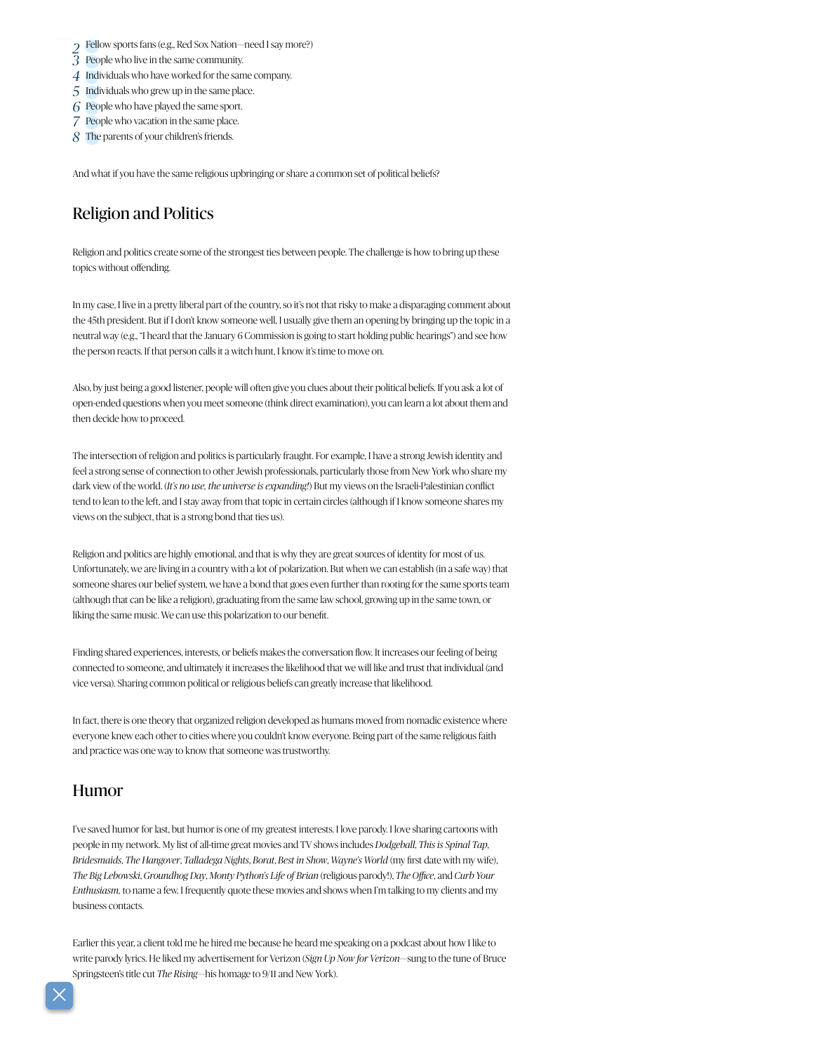- Fellow sports fans (e.g., Red Sox Nation—need Isay more?) *2*
- *3* People who live in the same community.
- *4* Individuals who have worked for the same company.
- *5* Individuals who grew up in the same place.
- *6* People who have played the same sport.
- *7* People who vacation in the same place.
- *8* The parents of your children's friends.

And what if you have the same religious upbringing or share a common set of political beliefs?

#### Religion and Politics

Religion and politics create some of the strongest ties between people. The challenge is how to bring up these topics without offending.

In my case, I live in a pretty liberal part of the country, so it's not that risky to make a disparaging comment about the 45th president. But if I don't know someone well, I usually give them an opening by bringing up the topic in a neutral way (e.g., "I heard that the January 6 Commission is going to start holding public hearings") and see how the person reacts. If that person calls it a witch hunt, I know it's time to move on.

Also, by just being a good listener, people will often give you clues about their political beliefs. If you ask a lot of open-ended questions when you meet someone (think direct examination), you can learn a lot about them and then decide how to proceed.

The intersection of religion and politics is particularly fraught. For example, I have a strong Jewish identity and feel a strong sense of connection to other Jewish professionals, particularly those from New York who share my dark view of the world. (*It's no use, the universe is expanding!*) But my views on the Israeli-Palestinian conflict tend to lean to the left, and I stay away from that topic in certain circles (although if I know someone shares my views on the subject, that is a strong bond that ties us).

Religion and politics are highly emotional, and that is why they are great sources of identity for most of us. Unfortunately, we are living in a country with a lot of polarization. But when we can establish (in a safe way) that someone shares our belief system, we have a bond that goes even further than rooting for the same sports team (although that can be like a religion), graduating from the same law school, growing up in the same town, or liking the same music. We can use this polarization to our benefit.

Finding shared experiences, interests, or beliefs makes the conversation flow. It increases our feeling of being connected to someone, and ultimately it increases the likelihood that we will like and trust that individual (and vice versa). Sharing common political or religious beliefs can greatly increase that likelihood.

In fact, there is one theory that organized religion developed as humans moved from nomadic existence where everyone knew each other to cities where you couldn't know everyone. Being part of the same religious faith and practice was one way to know that someone was trustworthy.

#### Humor

I've saved humor for last, but humor is one of my greatest interests. I love parody. I love sharing cartoons with people in my network. My list of all-time great movies and TV shows includes *Dodgeball*, *This is Spinal Tap*, *Bridesmaids*, *The Hangover*, *Talladega Nights*, *Borat*, *Best in Show*, *Wayne's World* (my first date with my wife), *The Big Lebowski*, *Groundhog Day*, *Monty Python's Life of Brian* (religious parody!), *The Office*, and *Curb Your Enthusiasm,* to name a few. I frequently quote these movies and shows when I'm talking to my clients and my business contacts.

Earlier this year, a client told me he hired me because he heard me speaking on a podcast about how I like to write parody lyrics. He liked my advertisement for Verizon (*Sign Up Now for Verizon*—sung to the tune of Bruce Springsteen's title cut *The Rising*—his homage to 9/11 and New York).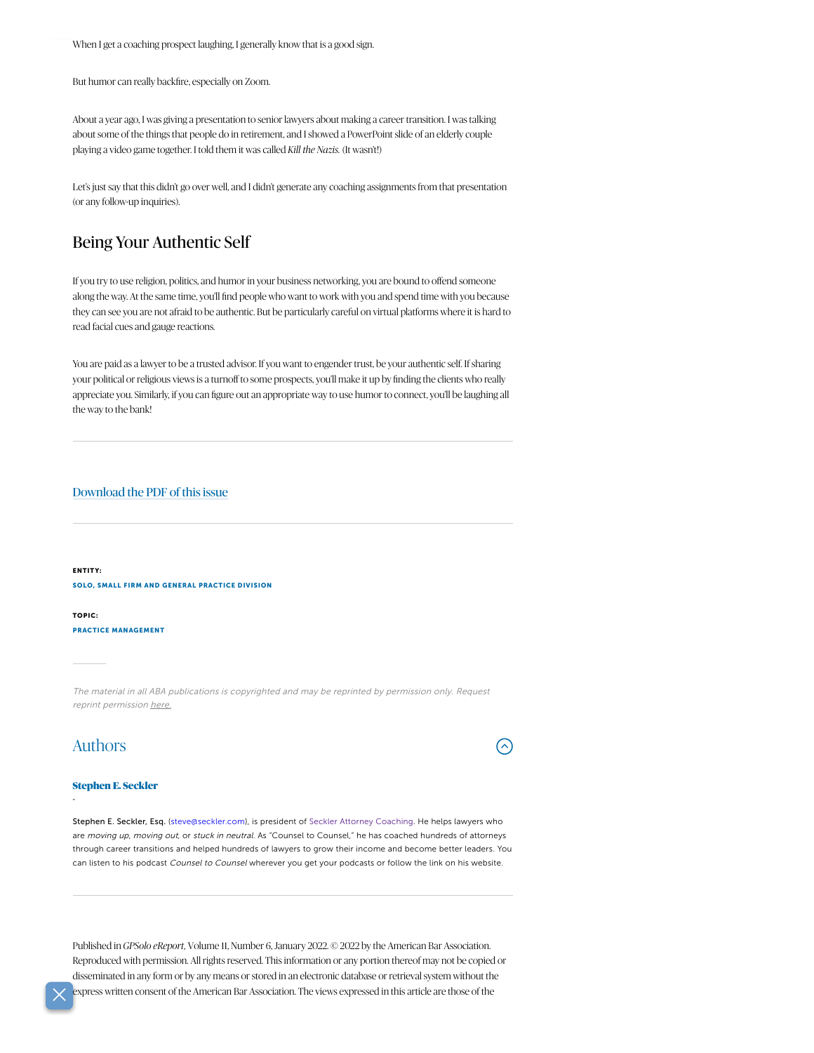When I get a coaching prospect laughing, I generally know that is a good sign.

But humor can really backfire, especially on Zoom.

About a year ago, I was giving a presentation to senior lawyers about making a career transition. I was talking about some of the things that people do in retirement, and I showed a PowerPoint slide of an elderly couple playing a video game together. I told them itwas called *Kill the Nazis.* (It wasn't!)

Let's just say that this didn't go over well, and I didn't generate any coaching assignments from that presentation (or any follow-up inquiries).

### Being Your Authentic Self

If you try to use religion, politics, and humor in your business networking, you are bound to offend someone along the way. At the same time, you'll find people who want to work with you and spend time with you because they can see you are not afraid to be authentic. But be particularly careful on virtual platforms where it is hard to read facial cues and gauge reactions.

You are paid as a lawyer to be a trusted advisor. If you want to engender trust, be your authentic self. If sharing your political or religious views is a turnoff to some prospects, you'll make it up by finding the clients who really appreciate you. Similarly, if you can figure out an appropriate way to use humor to connect, you'll be laughing all the way to the bank!

#### [Download](https://www.americanbar.org/content/dam/aba/publications/GPSolo_eReport/2022/january-2022/january-2022-full.pdf) the PDF of this issue

ENTITY: SOLO, SMALL FIRM AND GENERAL [PRACTICE](https://www.americanbar.org/groups/gpsolo/) DIVISION

TOPIC: PRACTICE [MANAGEMENT](https://www.americanbar.org/topics/lpm/)

The material in all ABA publications is copyrighted and may be reprinted by permission only. Request reprint permission [here.](https://www.americanbar.org/about_the_aba/copyright/)

## Authors

-

# $(\lambda)$

#### [Stephen](mailto:steve@seckler.com) E. Seckler

Stephen E. Seckler, Esq. ([steve@seckler.com\)](mailto:steve@seckler.com), is president of Seckler Attorney [Coaching](http://www.seckler.com/). He helps lawyers who are moving up, moving out, or stuck in neutral. As "Counsel to Counsel," he has coached hundreds of attorneys through career transitions and helped hundreds of lawyers to grow their income and become better leaders. You can listen to his podcast Counsel to Counsel wherever you get your podcasts or follow the link on his website.

Published in *GPSolo eReport,* Volume 11, Number 6, January 2022. © 2022 by the American Bar Association. Reproduced with permission. All rights reserved. This information or any portion thereof may not be copied or disseminated in any form or by any means or stored in an electronic database or retrieval system without the express written consent of the American Bar Association. The views expressed in this article are those of the